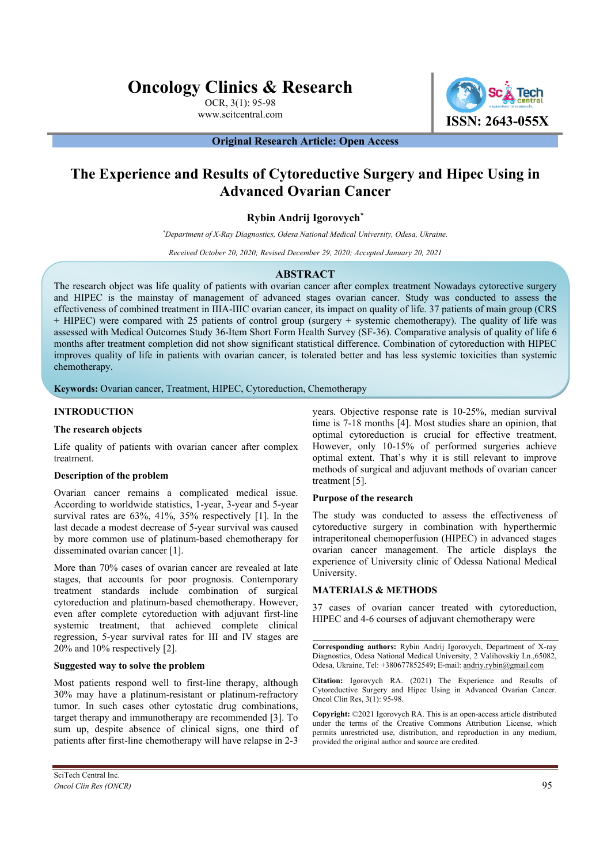# **Oncology Clinics & Research**

OCR, 3(1): 95-98



**Original Research Article: Open Access** 

# **The Experience and Results of Cytoreductive Surgery and Hipec Using in Advanced Ovarian Cancer**

# **Rybin Andrij Igorovych\***

*\* Department of X-Ray Diagnostics, Odesa National Medical University, Odesa, Ukraine.*

*Received October 20, 2020; Revised December 29, 2020; Accepted January 20, 2021*

#### **ABSTRACT**

The research object was life quality of patients with ovarian cancer after complex treatment Nowadays cytorective surgery and HIPEC is the mainstay of management of advanced stages ovarian cancer. Study was conducted to assess the effectiveness of combined treatment in IIIA-IIIC ovarian cancer, its impact on quality of life. 37 patients of main group (CRS + HIPEC) were compared with 25 patients of control group (surgery + systemic chemotherapy). The quality of life was assessed with Medical Outcomes Study 36-Item Short Form Health Survey (SF-36). Comparative analysis of quality of life 6 months after treatment completion did not show significant statistical difference. Combination of cytoreduction with HIPEC improves quality of life in patients with ovarian cancer, is tolerated better and has less systemic toxicities than systemic chemotherapy.

**Keywords:** Ovarian cancer, Treatment, HIPEC, Cytoreduction, Chemotherapy

#### **INTRODUCTION**

#### **The research objects**

Life quality of patients with ovarian cancer after complex treatment.

#### **Description of the problem**

Ovarian cancer remains a complicated medical issue. According to worldwide statistics, 1-year, 3-year and 5-year survival rates are 63%, 41%, 35% respectively [1]. In the last decade a modest decrease of 5-year survival was caused by more common use of platinum-based chemotherapy for disseminated ovarian cancer [1].

More than 70% cases of ovarian cancer are revealed at late stages, that accounts for poor prognosis. Contemporary treatment standards include combination of surgical cytoreduction and platinum-based chemotherapy. However, even after complete cytoreduction with adjuvant first-line systemic treatment, that achieved complete clinical regression, 5-year survival rates for III and IV stages are 20% and 10% respectively [2].

#### **Suggested way to solve the problem**

Most patients respond well to first-line therapy, although 30% may have a platinum-resistant or platinum-refractory tumor. In such cases other cytostatic drug combinations, target therapy and immunotherapy are recommended [3]. To sum up, despite absence of clinical signs, one third of patients after first-line chemotherapy will have relapse in 2-3

years. Objective response rate is 10-25%, median survival time is 7-18 months [4]. Most studies share an opinion, that optimal cytoreduction is crucial for effective treatment. However, only 10-15% of performed surgeries achieve optimal extent. That's why it is still relevant to improve methods of surgical and adjuvant methods of ovarian cancer treatment [5].

#### **Purpose of the research**

The study was conducted to assess the effectiveness of cytoreductive surgery in combination with hyperthermic intraperitoneal chemoperfusion (HIPEC) in advanced stages ovarian cancer management. The article displays the experience of University clinic of Odessa National Medical University.

#### **MATERIALS & METHODS**

37 cases of ovarian cancer treated with cytoreduction, HIPEC and 4-6 courses of adjuvant chemotherapy were

**Corresponding authors:** Rybin Andrij Igorovych, Department of X-ray Diagnostics, Odesa National Medical University, 2 Valihovskiy Ln.,65082, Odesa, Ukraine, Tel: +380677852549; E-mail: andriy.rybin@gmail.com

**Citation:** Igorovych RA. (2021) The Experience and Results of Cytoreductive Surgery and Hipec Using in Advanced Ovarian Cancer. Oncol Clin Res, 3(1): 95-98.

**Copyright:** ©2021 Igorovych RA. This is an open-access article distributed under the terms of the Creative Commons Attribution License, which permits unrestricted use, distribution, and reproduction in any medium, provided the original author and source are credited.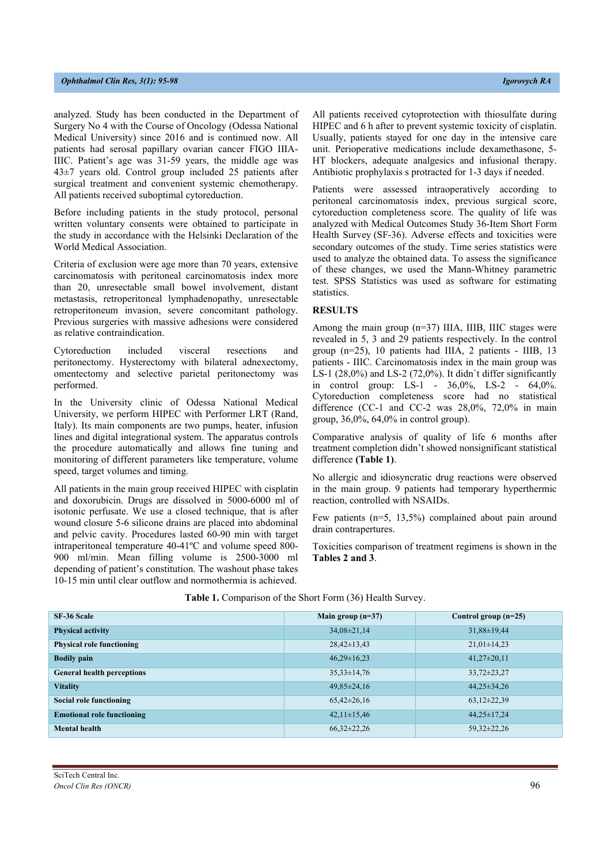analyzed. Study has been conducted in the Department of Surgery No 4 with the Course of Oncology (Odessa National Medical University) since 2016 and is continued now. All patients had serosal papillary ovarian cancer FIGO IIIA-IIIC. Patient's age was 31-59 years, the middle age was 43±7 years old. Control group included 25 patients after surgical treatment and convenient systemic chemotherapy. All patients received suboptimal cytoreduction.

Before including patients in the study protocol, personal written voluntary consents were obtained to participate in the study in accordance with the Helsinki Declaration of the World Medical Association.

Criteria of exclusion were age more than 70 years, extensive carcinomatosis with peritoneal carcinomatosis index more than 20, unresectable small bowel involvement, distant metastasis, retroperitoneal lymphadenopathy, unresectable retroperitoneum invasion, severe concomitant pathology. Previous surgeries with massive adhesions were considered as relative contraindication.

Cytoreduction included visceral resections and peritonectomy. Hysterectomy with bilateral adnexectomy, omentectomy and selective parietal peritonectomy was performed.

In the University clinic of Odessa National Medical University, we perform HIPEC with Performer LRT (Rand, Italy). Its main components are two pumps, heater, infusion lines and digital integrational system. The apparatus controls the procedure automatically and allows fine tuning and monitoring of different parameters like temperature, volume speed, target volumes and timing.

All patients in the main group received HIPEC with cisplatin and doxorubicin. Drugs are dissolved in 5000-6000 ml of isotonic perfusate. We use a closed technique, that is after wound closure 5-6 silicone drains are placed into abdominal and pelvic cavity. Procedures lasted 60-90 min with target intraperitoneal temperature 40-41ºC and volume speed 800- 900 ml/min. Mean filling volume is 2500-3000 ml depending of patient's constitution. The washout phase takes 10-15 min until clear outflow and normothermia is achieved.

All patients received cytoprotection with thiosulfate during HIPEC and 6 h after to prevent systemic toxicity of cisplatin. Usually, patients stayed for one day in the intensive care unit. Perioperative medications include dexamethasone, 5- HT blockers, adequate analgesics and infusional therapy. Antibiotic prophylaxis s protracted for 1-3 days if needed.

Patients were assessed intraoperatively according to peritoneal carcinomatosis index, previous surgical score, cytoreduction completeness score. The quality of life was analyzed with Medical Outcomes Study 36-Item Short Form Health Survey (SF-36). Adverse effects and toxicities were secondary outcomes of the study. Time series statistics were used to analyze the obtained data. To assess the significance of these changes, we used the Mann-Whitney parametric test. SPSS Statistics was used as software for estimating statistics.

#### **RESULTS**

Among the main group  $(n=37)$  IIIA, IIIB, IIIC stages were revealed in 5, 3 and 29 patients respectively. In the control group (n=25), 10 patients had IIIA, 2 patients - IIIB, 13 patients - IIIC. Carcinomatosis index in the main group was LS-1 (28,0%) and LS-2 (72,0%). It didn`t differ significantly in control group: LS-1 - 36,0%, LS-2 - 64,0%. Cytoreduction completeness score had no statistical difference (CC-1 and CC-2 was 28,0%, 72,0% in main group, 36,0%, 64,0% in control group).

Comparative analysis of quality of life 6 months after treatment completion didn't showed nonsignificant statistical difference **(Table 1)**.

No allergic and idiosyncratic drug reactions were observed in the main group. 9 patients had temporary hyperthermic reaction, controlled with NSAIDs.

Few patients (n=5, 13,5%) complained about pain around drain contrapertures.

Toxicities comparison of treatment regimens is shown in the **Tables 2 and 3**.

| SF-36 Scale                       | Main group $(n=37)$ | Control group $(n=25)$ |
|-----------------------------------|---------------------|------------------------|
| <b>Physical activity</b>          | $34,08\pm21,14$     | $31,88 \pm 19,44$      |
| <b>Physical role functioning</b>  | $28,42\pm 13,43$    | $21,01\pm14,23$        |
| <b>Bodily pain</b>                | $46.29 \pm 16.23$   | $41,27\pm20,11$        |
| <b>General health perceptions</b> | $35,33\pm 14,76$    | $33,72\pm23,27$        |
| <b>Vitality</b>                   | $49,85 \pm 24,16$   | $44,25\pm34,26$        |
| Social role functioning           | $65,42\pm26,16$     | $63,12\pm22,39$        |
| <b>Emotional role functioning</b> | $42,11\pm15,46$     | $44,25\pm 17,24$       |
| <b>Mental health</b>              | $66,32\pm22,26$     | 59,32±22,26            |

#### **Table 1.** Comparison of the Short Form (36) Health Survey.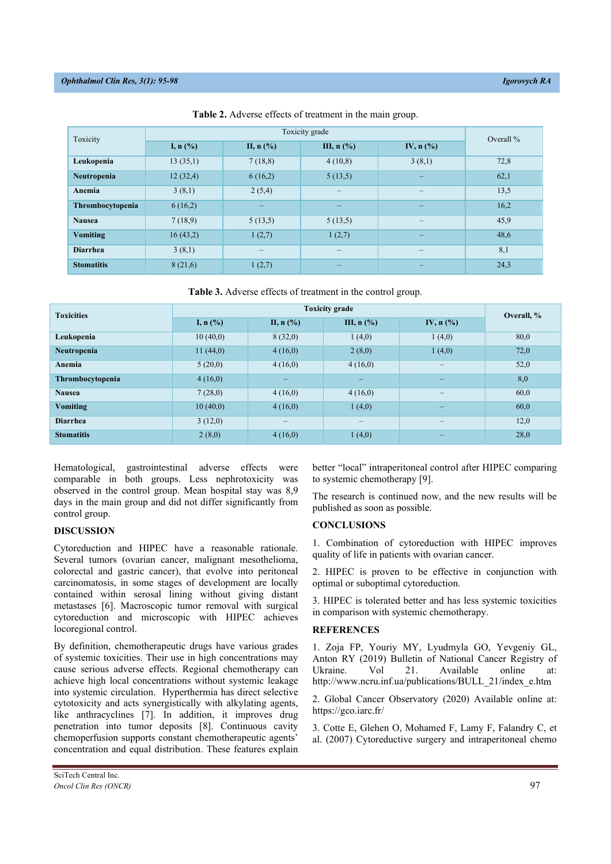| Toxicity          |            | Overall $\%$             |                          |                                    |      |
|-------------------|------------|--------------------------|--------------------------|------------------------------------|------|
|                   | I, $n$ (%) | II, $n$ (%)              | III, $n$ (%)             | IV, $n$ $\left(\frac{9}{6}\right)$ |      |
| Leukopenia        | 13(35,1)   | 7(18,8)                  | 4(10,8)                  | 3(8,1)                             | 72,8 |
| Neutropenia       | 12(32,4)   | 6(16,2)                  | 5(13,5)                  | —                                  | 62,1 |
| Anemia            | 3(8,1)     | 2(5,4)                   | $\overline{\phantom{m}}$ |                                    | 13,5 |
| Thrombocytopenia  | 6(16,2)    | $\overline{\phantom{0}}$ | $\overline{\phantom{m}}$ | $\overline{\phantom{0}}$           | 16,2 |
| <b>Nausea</b>     | 7(18,9)    | 5(13,5)                  | 5(13,5)                  |                                    | 45,9 |
| <b>Vomiting</b>   | 16(43,2)   | 1(2,7)                   | 1(2,7)                   | –                                  | 48,6 |
| <b>Diarrhea</b>   | 3(8,1)     |                          | $\overline{\phantom{m}}$ |                                    | 8,1  |
| <b>Stomatitis</b> | 8(21,6)    | 1(2,7)                   | $\overline{\phantom{0}}$ | $\overline{\phantom{0}}$           | 24,3 |

**Table 2.** Adverse effects of treatment in the main group.

**Table 3.** Adverse effects of treatment in the control group.

| <b>Toxicities</b> | <b>Toxicity grade</b> |                          |                                     |                                    | Overall, % |
|-------------------|-----------------------|--------------------------|-------------------------------------|------------------------------------|------------|
|                   | I, n $(\% )$          | II, $n$ (%)              | III, $n$ $\left(\frac{9}{6}\right)$ | IV, $n$ $\left(\frac{9}{6}\right)$ |            |
| Leukopenia        | 10(40,0)              | 8(32,0)                  | 1(4,0)                              | 1(4,0)                             | 80,0       |
| Neutropenia       | 11(44,0)              | 4(16,0)                  | 2(8,0)                              | 1(4,0)                             | 72,0       |
| Anemia            | 5(20,0)               | 4(16,0)                  | 4(16,0)                             | $\overline{\phantom{0}}$           | 52,0       |
| Thrombocytopenia  | 4(16,0)               | $\overline{\phantom{0}}$ |                                     | $\overline{\phantom{0}}$           | 8,0        |
| <b>Nausea</b>     | 7(28,0)               | 4(16,0)                  | 4(16,0)                             | $\qquad \qquad -$                  | 60,0       |
| <b>Vomiting</b>   | 10(40,0)              | 4(16,0)                  | 1(4,0)                              |                                    | 60,0       |
| <b>Diarrhea</b>   | 3(12,0)               | $\overline{\phantom{m}}$ | $\qquad \qquad$                     | $\qquad \qquad -$                  | 12,0       |
| <b>Stomatitis</b> | 2(8,0)                | 4(16,0)                  | 1(4,0)                              |                                    | 28,0       |

Hematological, gastrointestinal adverse effects were comparable in both groups. Less nephrotoxicity was observed in the control group. Mean hospital stay was 8,9 days in the main group and did not differ significantly from control group.

# **DISCUSSION**

Cytoreduction and HIPEC have a reasonable rationale. Several tumors (ovarian cancer, malignant mesothelioma, colorectal and gastric cancer), that evolve into peritoneal carcinomatosis, in some stages of development are locally contained within serosal lining without giving distant metastases [6]. Macroscopic tumor removal with surgical cytoreduction and microscopic with HIPEC achieves locoregional control.

By definition, chemotherapeutic drugs have various grades of systemic toxicities. Their use in high concentrations may cause serious adverse effects. Regional chemotherapy can achieve high local concentrations without systemic leakage into systemic circulation. Hyperthermia has direct selective cytotoxicity and acts synergistically with alkylating agents, like anthracyclines [7]. In addition, it improves drug penetration into tumor deposits [8]. Continuous cavity chemoperfusion supports constant chemotherapeutic agents' concentration and equal distribution. These features explain better "local" intraperitoneal control after HIPEC comparing to systemic chemotherapy [9].

The research is continued now, and the new results will be published as soon as possible.

# **CONCLUSIONS**

1. Combination of cytoreduction with HIPEC improves quality of life in patients with ovarian cancer.

2. HIPEC is proven to be effective in conjunction with optimal or suboptimal cytoreduction.

3. HIPEC is tolerated better and has less systemic toxicities in comparison with systemic chemotherapy.

# **REFERENCES**

1. Zoja FP, Youriy MY, Lyudmyla GO, Yevgeniy GL, Anton RY (2019) Bulletin of National Cancer Registry of Ukraine. Vol 21. Available online at: http://www.ncru.inf.ua/publications/BULL\_21/index\_e.htm

2. Global Cancer Observatory (2020) Available online at: https://gco.iarc.fr/

3. Cotte E, Glehen O, Mohamed F, Lamy F, Falandry C, et al. (2007) Cytoreductive surgery and intraperitoneal chemo